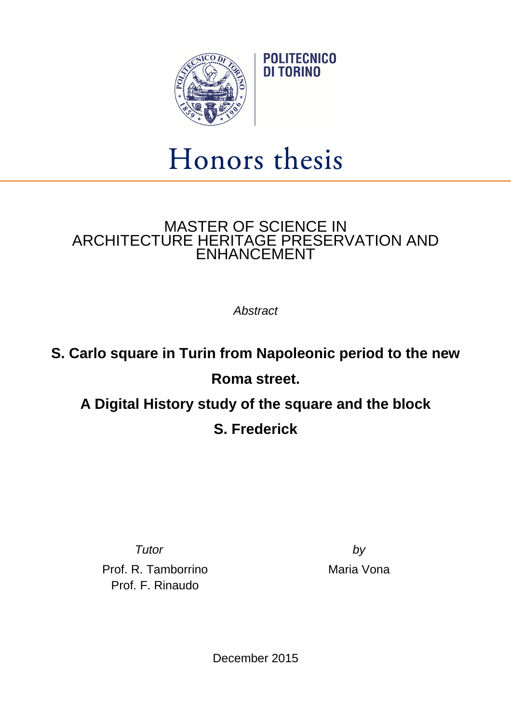

## Honors thesis

**POLITECNICO** DI TORINO

## MASTER OF SCIENCE IN ARCHITECTURE HERITAGE PRESERVATION AND ENHANCEMENT

**Abstract** 

## **S. Carlo square in Turin from Napoleonic period to the new Roma street. A Digital History study of the square and the block S. Frederick**

Prof. R. Tamborrino Prof. F. Rinaudo

Tutor by by Maria Vona

December 2015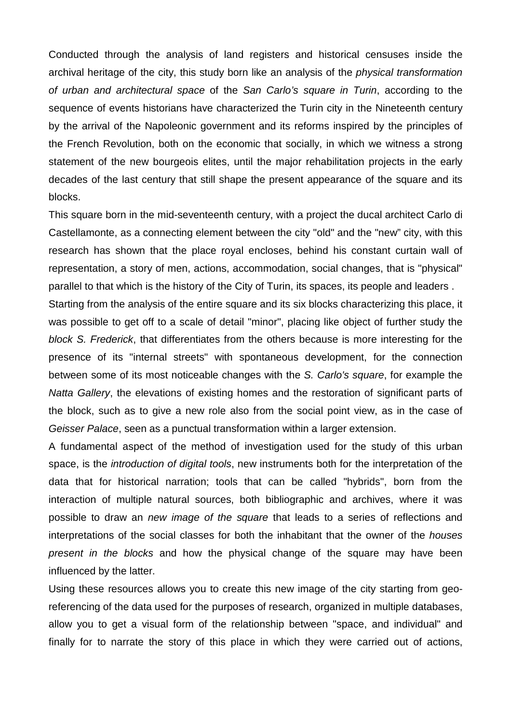Conducted through the analysis of land registers and historical censuses inside the archival heritage of the city, this study born like an analysis of the physical transformation of urban and architectural space of the San Carlo's square in Turin, according to the sequence of events historians have characterized the Turin city in the Nineteenth century by the arrival of the Napoleonic government and its reforms inspired by the principles of the French Revolution, both on the economic that socially, in which we witness a strong statement of the new bourgeois elites, until the major rehabilitation projects in the early decades of the last century that still shape the present appearance of the square and its blocks.

This square born in the mid-seventeenth century, with a project the ducal architect Carlo di Castellamonte, as a connecting element between the city "old" and the "new" city, with this research has shown that the place royal encloses, behind his constant curtain wall of representation, a story of men, actions, accommodation, social changes, that is "physical" parallel to that which is the history of the City of Turin, its spaces, its people and leaders .

Starting from the analysis of the entire square and its six blocks characterizing this place, it was possible to get off to a scale of detail "minor", placing like object of further study the block S. Frederick, that differentiates from the others because is more interesting for the presence of its "internal streets" with spontaneous development, for the connection between some of its most noticeable changes with the S. Carlo's square, for example the Natta Gallery, the elevations of existing homes and the restoration of significant parts of the block, such as to give a new role also from the social point view, as in the case of Geisser Palace, seen as a punctual transformation within a larger extension.

A fundamental aspect of the method of investigation used for the study of this urban space, is the *introduction of digital tools*, new instruments both for the interpretation of the data that for historical narration; tools that can be called "hybrids", born from the interaction of multiple natural sources, both bibliographic and archives, where it was possible to draw an new image of the square that leads to a series of reflections and interpretations of the social classes for both the inhabitant that the owner of the houses present in the blocks and how the physical change of the square may have been influenced by the latter.

Using these resources allows you to create this new image of the city starting from georeferencing of the data used for the purposes of research, organized in multiple databases, allow you to get a visual form of the relationship between "space, and individual" and finally for to narrate the story of this place in which they were carried out of actions,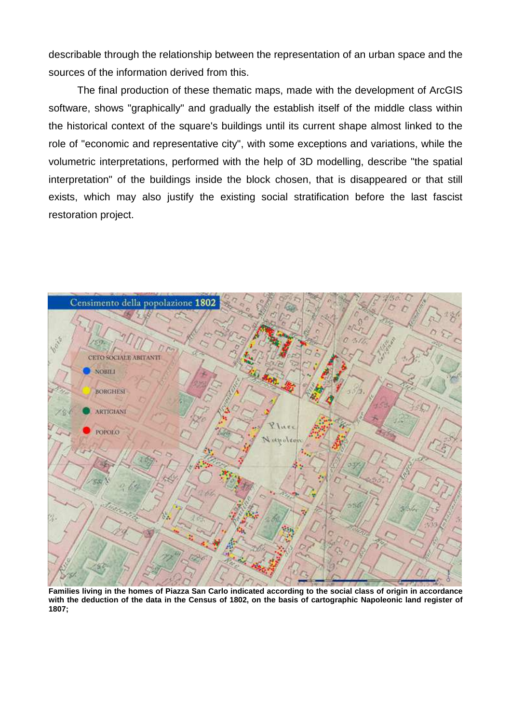describable through the relationship between the representation of an urban space and the sources of the information derived from this.

 The final production of these thematic maps, made with the development of ArcGIS software, shows "graphically" and gradually the establish itself of the middle class within the historical context of the square's buildings until its current shape almost linked to the role of "economic and representative city", with some exceptions and variations, while the volumetric interpretations, performed with the help of 3D modelling, describe "the spatial interpretation" of the buildings inside the block chosen, that is disappeared or that still exists, which may also justify the existing social stratification before the last fascist restoration project.



**Families living in the homes of Piazza San Carlo indicated according to the social class of origin in accordance with the deduction of the data in the Census of 1802, on the basis of cartographic Napoleonic land register of 1807;**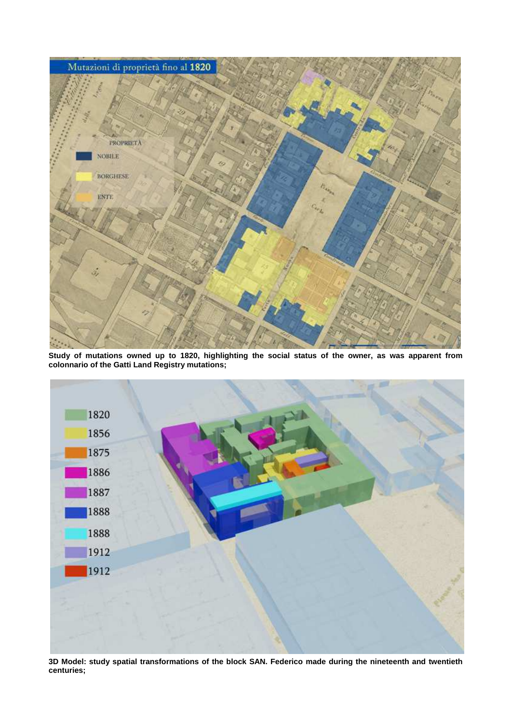

**Study of mutations owned up to 1820, highlighting the social status of the owner, as was apparent from colonnario of the Gatti Land Registry mutations;** 



**3D Model: study spatial transformations of the block SAN. Federico made during the nineteenth and twentieth centuries;**